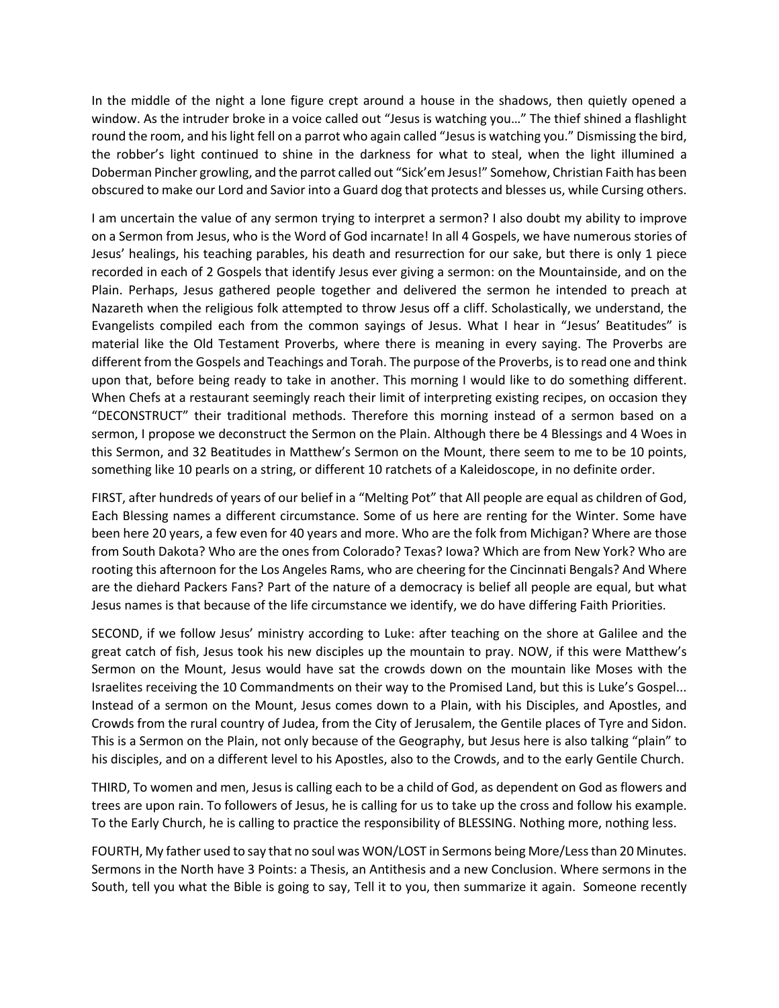In the middle of the night a lone figure crept around a house in the shadows, then quietly opened a window. As the intruder broke in a voice called out "Jesus is watching you…" The thief shined a flashlight round the room, and his light fell on a parrot who again called "Jesus is watching you." Dismissing the bird, the robber's light continued to shine in the darkness for what to steal, when the light illumined a Doberman Pincher growling, and the parrot called out "Sick'em Jesus!" Somehow, Christian Faith has been obscured to make our Lord and Savior into a Guard dog that protects and blesses us, while Cursing others.

I am uncertain the value of any sermon trying to interpret a sermon? I also doubt my ability to improve on a Sermon from Jesus, who is the Word of God incarnate! In all 4 Gospels, we have numerous stories of Jesus' healings, his teaching parables, his death and resurrection for our sake, but there is only 1 piece recorded in each of 2 Gospels that identify Jesus ever giving a sermon: on the Mountainside, and on the Plain. Perhaps, Jesus gathered people together and delivered the sermon he intended to preach at Nazareth when the religious folk attempted to throw Jesus off a cliff. Scholastically, we understand, the Evangelists compiled each from the common sayings of Jesus. What I hear in "Jesus' Beatitudes" is material like the Old Testament Proverbs, where there is meaning in every saying. The Proverbs are different from the Gospels and Teachings and Torah. The purpose of the Proverbs, isto read one and think upon that, before being ready to take in another. This morning I would like to do something different. When Chefs at a restaurant seemingly reach their limit of interpreting existing recipes, on occasion they "DECONSTRUCT" their traditional methods. Therefore this morning instead of a sermon based on a sermon, I propose we deconstruct the Sermon on the Plain. Although there be 4 Blessings and 4 Woes in this Sermon, and 32 Beatitudes in Matthew's Sermon on the Mount, there seem to me to be 10 points, something like 10 pearls on a string, or different 10 ratchets of a Kaleidoscope, in no definite order.

FIRST, after hundreds of years of our belief in a "Melting Pot" that All people are equal as children of God, Each Blessing names a different circumstance. Some of us here are renting for the Winter. Some have been here 20 years, a few even for 40 years and more. Who are the folk from Michigan? Where are those from South Dakota? Who are the ones from Colorado? Texas? Iowa? Which are from New York? Who are rooting this afternoon for the Los Angeles Rams, who are cheering for the Cincinnati Bengals? And Where are the diehard Packers Fans? Part of the nature of a democracy is belief all people are equal, but what Jesus names is that because of the life circumstance we identify, we do have differing Faith Priorities.

SECOND, if we follow Jesus' ministry according to Luke: after teaching on the shore at Galilee and the great catch of fish, Jesus took his new disciples up the mountain to pray. NOW, if this were Matthew's Sermon on the Mount, Jesus would have sat the crowds down on the mountain like Moses with the Israelites receiving the 10 Commandments on their way to the Promised Land, but this is Luke's Gospel... Instead of a sermon on the Mount, Jesus comes down to a Plain, with his Disciples, and Apostles, and Crowds from the rural country of Judea, from the City of Jerusalem, the Gentile places of Tyre and Sidon. This is a Sermon on the Plain, not only because of the Geography, but Jesus here is also talking "plain" to his disciples, and on a different level to his Apostles, also to the Crowds, and to the early Gentile Church.

THIRD, To women and men, Jesus is calling each to be a child of God, as dependent on God as flowers and trees are upon rain. To followers of Jesus, he is calling for us to take up the cross and follow his example. To the Early Church, he is calling to practice the responsibility of BLESSING. Nothing more, nothing less.

FOURTH, My father used to say that no soul was WON/LOST in Sermons being More/Less than 20 Minutes. Sermons in the North have 3 Points: a Thesis, an Antithesis and a new Conclusion. Where sermons in the South, tell you what the Bible is going to say, Tell it to you, then summarize it again. Someone recently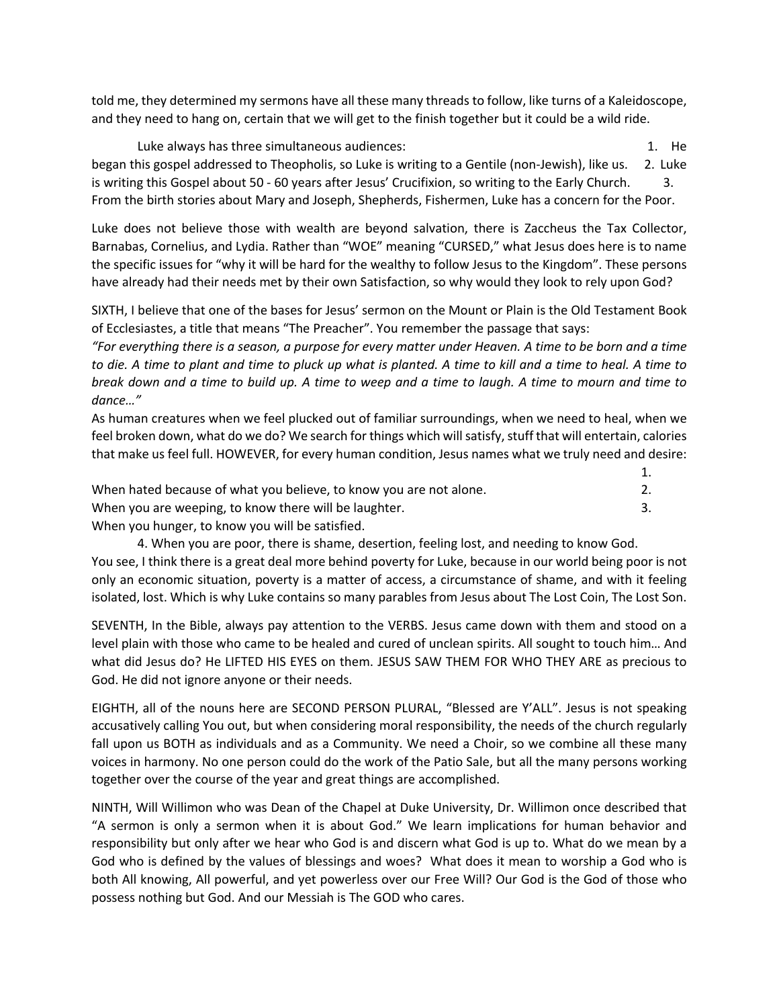told me, they determined my sermons have all these many threads to follow, like turns of a Kaleidoscope, and they need to hang on, certain that we will get to the finish together but it could be a wild ride.

Luke always has three simultaneous audiences: 1. He controlled the state of the state of the state of the state of the state of the state of the state of the state of the state of the state of the state of the state of the began this gospel addressed to Theopholis, so Luke is writing to a Gentile (non-Jewish), like us. 2. Luke is writing this Gospel about 50 - 60 years after Jesus' Crucifixion, so writing to the Early Church. 3. From the birth stories about Mary and Joseph, Shepherds, Fishermen, Luke has a concern for the Poor.

Luke does not believe those with wealth are beyond salvation, there is Zaccheus the Tax Collector, Barnabas, Cornelius, and Lydia. Rather than "WOE" meaning "CURSED," what Jesus does here is to name the specific issues for "why it will be hard for the wealthy to follow Jesus to the Kingdom". These persons have already had their needs met by their own Satisfaction, so why would they look to rely upon God?

SIXTH, I believe that one of the bases for Jesus' sermon on the Mount or Plain is the Old Testament Book of Ecclesiastes, a title that means "The Preacher". You remember the passage that says:

*"For everything there is a season, a purpose for every matter under Heaven. A time to be born and a time to die. A time to plant and time to pluck up what is planted. A time to kill and a time to heal. A time to break down and a time to build up. A time to weep and a time to laugh. A time to mourn and time to dance…"*

As human creatures when we feel plucked out of familiar surroundings, when we need to heal, when we feel broken down, what do we do? We search for things which will satisfy, stuff that will entertain, calories that make us feel full. HOWEVER, for every human condition, Jesus names what we truly need and desire:

| When hated because of what you believe, to know you are not alone. |  |
|--------------------------------------------------------------------|--|
| When you are weeping, to know there will be laughter.              |  |
| lllhon you hungar to know you will be cotiefied                    |  |

When you hunger, to know you will be satisfied.

4. When you are poor, there is shame, desertion, feeling lost, and needing to know God. You see, I think there is a great deal more behind poverty for Luke, because in our world being poor is not only an economic situation, poverty is a matter of access, a circumstance of shame, and with it feeling isolated, lost. Which is why Luke contains so many parables from Jesus about The Lost Coin, The Lost Son.

SEVENTH, In the Bible, always pay attention to the VERBS. Jesus came down with them and stood on a level plain with those who came to be healed and cured of unclean spirits. All sought to touch him… And what did Jesus do? He LIFTED HIS EYES on them. JESUS SAW THEM FOR WHO THEY ARE as precious to God. He did not ignore anyone or their needs.

EIGHTH, all of the nouns here are SECOND PERSON PLURAL, "Blessed are Y'ALL". Jesus is not speaking accusatively calling You out, but when considering moral responsibility, the needs of the church regularly fall upon us BOTH as individuals and as a Community. We need a Choir, so we combine all these many voices in harmony. No one person could do the work of the Patio Sale, but all the many persons working together over the course of the year and great things are accomplished.

NINTH, Will Willimon who was Dean of the Chapel at Duke University, Dr. Willimon once described that "A sermon is only a sermon when it is about God." We learn implications for human behavior and responsibility but only after we hear who God is and discern what God is up to. What do we mean by a God who is defined by the values of blessings and woes? What does it mean to worship a God who is both All knowing, All powerful, and yet powerless over our Free Will? Our God is the God of those who possess nothing but God. And our Messiah is The GOD who cares.